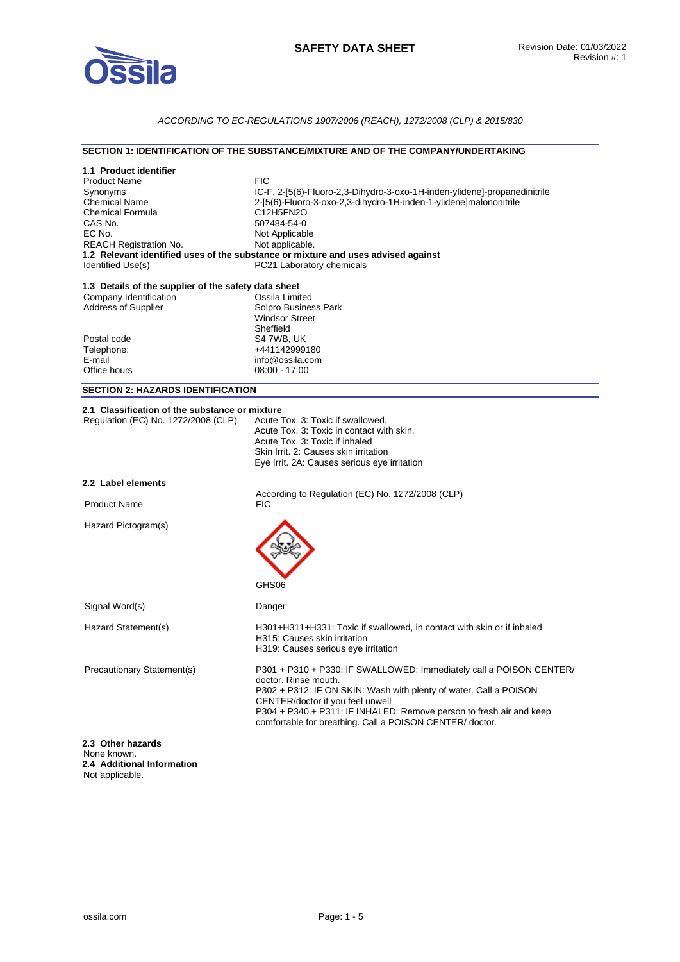

# *ACCORDING TO EC-REGULATIONS 1907/2006 (REACH), 1272/2008 (CLP) & 2015/830*

### **SECTION 1: IDENTIFICATION OF THE SUBSTANCE/MIXTURE AND OF THE COMPANY/UNDERTAKING**

| 1.1 Product identifier<br><b>Product Name</b><br>Synonyms<br><b>Chemical Name</b><br><b>Chemical Formula</b><br>CAS No.<br>EC No.<br><b>REACH Registration No.</b><br>Identified Use(s) | <b>FIC</b><br>IC-F, 2-[5(6)-Fluoro-2,3-Dihydro-3-oxo-1H-inden-ylidene]-propanedinitrile<br>2-[5(6)-Fluoro-3-oxo-2,3-dihydro-1H-inden-1-ylidene]malononitrile<br>C12H5FN2O<br>507484-54-0<br>Not Applicable<br>Not applicable.<br>1.2 Relevant identified uses of the substance or mixture and uses advised against<br>PC21 Laboratory chemicals |
|-----------------------------------------------------------------------------------------------------------------------------------------------------------------------------------------|-------------------------------------------------------------------------------------------------------------------------------------------------------------------------------------------------------------------------------------------------------------------------------------------------------------------------------------------------|
| 1.3 Details of the supplier of the safety data sheet<br>Company Identification<br><b>Address of Supplier</b>                                                                            | Ossila Limited<br>Solpro Business Park<br><b>Windsor Street</b><br>Sheffield                                                                                                                                                                                                                                                                    |
| Postal code<br>Telephone:<br>E-mail<br>Office hours                                                                                                                                     | S4 7WB, UK<br>+441142999180<br>info@ossila.com<br>08:00 - 17:00                                                                                                                                                                                                                                                                                 |
| <b>SECTION 2: HAZARDS IDENTIFICATION</b>                                                                                                                                                |                                                                                                                                                                                                                                                                                                                                                 |
| 2.1 Classification of the substance or mixture<br>Regulation (EC) No. 1272/2008 (CLP)                                                                                                   | Acute Tox, 3: Toxic if swallowed.<br>Acute Tox, 3: Toxic in contact with skin.<br>Acute Tox, 3: Toxic if inhaled<br>Skin Irrit. 2: Causes skin irritation<br>Eye Irrit. 2A: Causes serious eye irritation                                                                                                                                       |
| 2.2 Label elements                                                                                                                                                                      |                                                                                                                                                                                                                                                                                                                                                 |
| <b>Product Name</b>                                                                                                                                                                     | According to Regulation (EC) No. 1272/2008 (CLP)<br>FIC                                                                                                                                                                                                                                                                                         |
| Hazard Pictogram(s)                                                                                                                                                                     | GHS06                                                                                                                                                                                                                                                                                                                                           |
| Signal Word(s)                                                                                                                                                                          | Danger                                                                                                                                                                                                                                                                                                                                          |
| Hazard Statement(s)                                                                                                                                                                     | H301+H311+H331: Toxic if swallowed, in contact with skin or if inhaled<br>H315: Causes skin irritation<br>H319: Causes serious eye irritation                                                                                                                                                                                                   |
| Precautionary Statement(s)                                                                                                                                                              | P301 + P310 + P330: IF SWALLOWED: Immediately call a POISON CENTER/<br>doctor. Rinse mouth.<br>P302 + P312: IF ON SKIN: Wash with plenty of water. Call a POISON<br>CENTER/doctor if you feel unwell<br>P304 + P340 + P311: IF INHALED: Remove person to fresh air and keep<br>comfortable for breathing. Call a POISON CENTER/ doctor.         |
| 2.3 Other hazards<br>None known.<br>2.4 Additional Information<br>Not applicable.                                                                                                       |                                                                                                                                                                                                                                                                                                                                                 |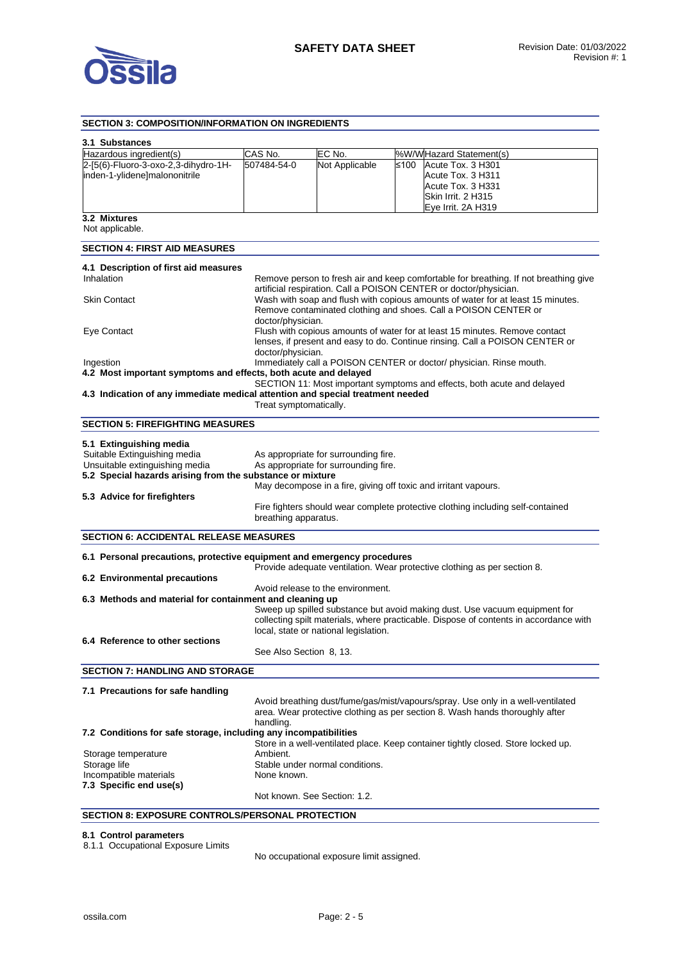

# **SECTION 3: COMPOSITION/INFORMATION ON INGREDIENTS**

| 3.1 Substances<br>Hazardous ingredient(s)                                      | CAS No.                 |                                                                                                                                                      |      |                                                                                       |
|--------------------------------------------------------------------------------|-------------------------|------------------------------------------------------------------------------------------------------------------------------------------------------|------|---------------------------------------------------------------------------------------|
| 2-[5(6)-Fluoro-3-oxo-2,3-dihydro-1H-                                           | 507484-54-0             | EC No.<br>Not Applicable                                                                                                                             | ≤100 | %W/WHazard Statement(s)<br>Acute Tox. 3 H301                                          |
| inden-1-ylidene]malononitrile                                                  |                         |                                                                                                                                                      |      | Acute Tox. 3 H311                                                                     |
|                                                                                |                         |                                                                                                                                                      |      | Acute Tox. 3 H331                                                                     |
|                                                                                |                         |                                                                                                                                                      |      | Skin Irrit. 2 H315                                                                    |
|                                                                                |                         |                                                                                                                                                      |      | Eye Irrit. 2A H319                                                                    |
| 3.2 Mixtures<br>Not applicable.                                                |                         |                                                                                                                                                      |      |                                                                                       |
| <b>SECTION 4: FIRST AID MEASURES</b>                                           |                         |                                                                                                                                                      |      |                                                                                       |
|                                                                                |                         |                                                                                                                                                      |      |                                                                                       |
| 4.1 Description of first aid measures<br>Inhalation                            |                         |                                                                                                                                                      |      |                                                                                       |
|                                                                                |                         |                                                                                                                                                      |      | Remove person to fresh air and keep comfortable for breathing. If not breathing give  |
| <b>Skin Contact</b>                                                            |                         | artificial respiration. Call a POISON CENTER or doctor/physician.<br>Wash with soap and flush with copious amounts of water for at least 15 minutes. |      |                                                                                       |
|                                                                                |                         |                                                                                                                                                      |      | Remove contaminated clothing and shoes. Call a POISON CENTER or                       |
|                                                                                | doctor/physician.       |                                                                                                                                                      |      |                                                                                       |
| Eye Contact                                                                    |                         |                                                                                                                                                      |      | Flush with copious amounts of water for at least 15 minutes. Remove contact           |
|                                                                                |                         |                                                                                                                                                      |      | lenses, if present and easy to do. Continue rinsing. Call a POISON CENTER or          |
|                                                                                | doctor/physician.       |                                                                                                                                                      |      |                                                                                       |
| Ingestion                                                                      |                         |                                                                                                                                                      |      | Immediately call a POISON CENTER or doctor/ physician. Rinse mouth.                   |
| 4.2 Most important symptoms and effects, both acute and delayed                |                         |                                                                                                                                                      |      |                                                                                       |
| 4.3 Indication of any immediate medical attention and special treatment needed |                         |                                                                                                                                                      |      | SECTION 11: Most important symptoms and effects, both acute and delayed               |
|                                                                                | Treat symptomatically.  |                                                                                                                                                      |      |                                                                                       |
|                                                                                |                         |                                                                                                                                                      |      |                                                                                       |
| <b>SECTION 5: FIREFIGHTING MEASURES</b>                                        |                         |                                                                                                                                                      |      |                                                                                       |
|                                                                                |                         |                                                                                                                                                      |      |                                                                                       |
| 5.1 Extinguishing media<br>Suitable Extinguishing media                        |                         |                                                                                                                                                      |      |                                                                                       |
| Unsuitable extinguishing media                                                 |                         | As appropriate for surrounding fire.<br>As appropriate for surrounding fire.                                                                         |      |                                                                                       |
| 5.2 Special hazards arising from the substance or mixture                      |                         |                                                                                                                                                      |      |                                                                                       |
|                                                                                |                         | May decompose in a fire, giving off toxic and irritant vapours.                                                                                      |      |                                                                                       |
| 5.3 Advice for firefighters                                                    |                         |                                                                                                                                                      |      |                                                                                       |
|                                                                                |                         |                                                                                                                                                      |      | Fire fighters should wear complete protective clothing including self-contained       |
|                                                                                | breathing apparatus.    |                                                                                                                                                      |      |                                                                                       |
| <b>SECTION 6: ACCIDENTAL RELEASE MEASURES</b>                                  |                         |                                                                                                                                                      |      |                                                                                       |
|                                                                                |                         |                                                                                                                                                      |      |                                                                                       |
| 6.1 Personal precautions, protective equipment and emergency procedures        |                         |                                                                                                                                                      |      |                                                                                       |
|                                                                                |                         |                                                                                                                                                      |      | Provide adequate ventilation. Wear protective clothing as per section 8.              |
| 6.2 Environmental precautions                                                  |                         |                                                                                                                                                      |      |                                                                                       |
|                                                                                |                         | Avoid release to the environment.                                                                                                                    |      |                                                                                       |
| 6.3 Methods and material for containment and cleaning up                       |                         |                                                                                                                                                      |      |                                                                                       |
|                                                                                |                         |                                                                                                                                                      |      | Sweep up spilled substance but avoid making dust. Use vacuum equipment for            |
|                                                                                |                         | local, state or national legislation.                                                                                                                |      | collecting spilt materials, where practicable. Dispose of contents in accordance with |
| 6.4 Reference to other sections                                                |                         |                                                                                                                                                      |      |                                                                                       |
|                                                                                | See Also Section 8, 13. |                                                                                                                                                      |      |                                                                                       |
|                                                                                |                         |                                                                                                                                                      |      |                                                                                       |
| <b>SECTION 7: HANDLING AND STORAGE</b>                                         |                         |                                                                                                                                                      |      |                                                                                       |
| 7.1 Precautions for safe handling                                              |                         |                                                                                                                                                      |      |                                                                                       |
|                                                                                |                         |                                                                                                                                                      |      | Avoid breathing dust/fume/gas/mist/vapours/spray. Use only in a well-ventilated       |
|                                                                                |                         |                                                                                                                                                      |      | area. Wear protective clothing as per section 8. Wash hands thoroughly after          |
|                                                                                | handling.               |                                                                                                                                                      |      |                                                                                       |
| 7.2 Conditions for safe storage, including any incompatibilities               |                         |                                                                                                                                                      |      |                                                                                       |
|                                                                                |                         |                                                                                                                                                      |      | Store in a well-ventilated place. Keep container tightly closed. Store locked up.     |
| Storage temperature                                                            | Ambient.                |                                                                                                                                                      |      |                                                                                       |
| Storage life                                                                   |                         | Stable under normal conditions.                                                                                                                      |      |                                                                                       |
| Incompatible materials                                                         | None known.             |                                                                                                                                                      |      |                                                                                       |
| 7.3 Specific end use(s)                                                        |                         |                                                                                                                                                      |      |                                                                                       |
|                                                                                |                         | Not known. See Section: 1.2.                                                                                                                         |      |                                                                                       |
| <b>SECTION 8: EXPOSURE CONTROLS/PERSONAL PROTECTION</b>                        |                         |                                                                                                                                                      |      |                                                                                       |
|                                                                                |                         |                                                                                                                                                      |      |                                                                                       |

#### **8.1 Control parameters**

8.1.1 Occupational Exposure Limits

No occupational exposure limit assigned.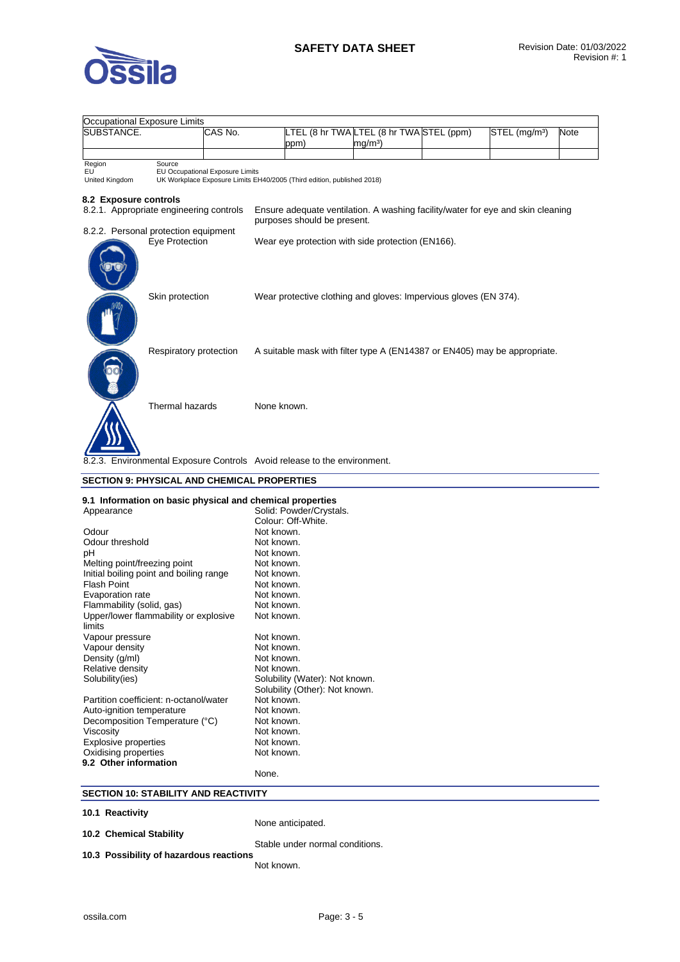

| <b>Occupational Exposure Limits</b>                                         |         |                                                                        |                                                                                 |                           |      |
|-----------------------------------------------------------------------------|---------|------------------------------------------------------------------------|---------------------------------------------------------------------------------|---------------------------|------|
| SUBSTANCE.                                                                  | CAS No. |                                                                        | LTEL (8 hr TWA LTEL (8 hr TWA STEL (ppm)                                        | STEL (mg/m <sup>3</sup> ) | Note |
|                                                                             |         | ppm)                                                                   | mg/mª)                                                                          |                           |      |
|                                                                             |         |                                                                        |                                                                                 |                           |      |
| Region<br>Source<br>EU<br>EU Occupational Exposure Limits<br>United Kingdom |         | UK Workplace Exposure Limits EH40/2005 (Third edition, published 2018) |                                                                                 |                           |      |
| 8.2 Exposure controls<br>8.2.1. Appropriate engineering controls            |         | purposes should be present.                                            | Ensure adequate ventilation. A washing facility/water for eye and skin cleaning |                           |      |
| 8.2.2. Personal protection equipment                                        |         |                                                                        |                                                                                 |                           |      |
| Eye Protection                                                              |         |                                                                        | Wear eye protection with side protection (EN166).                               |                           |      |
| Skin protection                                                             |         |                                                                        | Wear protective clothing and gloves: Impervious gloves (EN 374).                |                           |      |
| Respiratory protection                                                      |         |                                                                        | A suitable mask with filter type A (EN14387 or EN405) may be appropriate.       |                           |      |
| Thermal hazards                                                             |         | None known.                                                            |                                                                                 |                           |      |
| 8.2.3. Environmental Exposure Controls Avoid release to the environment.    |         |                                                                        |                                                                                 |                           |      |
| <b>SECTION 9: PHYSICAL AND CHEMICAL PROPERTIES</b>                          |         |                                                                        |                                                                                 |                           |      |
| 9.1 Information on basic physical and chemical properties                   |         |                                                                        |                                                                                 |                           |      |
| Appearance                                                                  |         | Solid: Powder/Crystals.                                                |                                                                                 |                           |      |
|                                                                             |         | Colour: Off-White.                                                     |                                                                                 |                           |      |
| Odour                                                                       |         | Not known.                                                             |                                                                                 |                           |      |
| Odour threshold                                                             |         | Not known.                                                             |                                                                                 |                           |      |
| рH                                                                          |         | Not known.                                                             |                                                                                 |                           |      |
| Melting point/freezing point                                                |         | Not known.                                                             |                                                                                 |                           |      |
| Initial boiling point and boiling range                                     |         | Not known.                                                             |                                                                                 |                           |      |
| Flash Point                                                                 |         | Not known.                                                             |                                                                                 |                           |      |
| Evaporation rate                                                            |         | Not known.                                                             |                                                                                 |                           |      |
| Flammability (solid, gas)                                                   |         | Not known.                                                             |                                                                                 |                           |      |
| Upper/lower flammability or explosive<br>limits                             |         | Not known.                                                             |                                                                                 |                           |      |
| Vapour pressure                                                             |         | Not known.                                                             |                                                                                 |                           |      |
| Vapour density                                                              |         | Not known.                                                             |                                                                                 |                           |      |
| Density (g/ml)                                                              |         | Not known.                                                             |                                                                                 |                           |      |
| Relative density                                                            |         | Not known.                                                             |                                                                                 |                           |      |
| Solubility(ies)                                                             |         | Solubility (Water): Not known.<br>Solubility (Other): Not known.       |                                                                                 |                           |      |
| Partition coefficient: n-octanol/water                                      |         | Not known.                                                             |                                                                                 |                           |      |
| Auto-ignition temperature                                                   |         | Not known.                                                             |                                                                                 |                           |      |
| Decomposition Temperature (°C)                                              |         | Not known.                                                             |                                                                                 |                           |      |
| Viscosity                                                                   |         | Not known.                                                             |                                                                                 |                           |      |
| <b>Explosive properties</b>                                                 |         | Not known.                                                             |                                                                                 |                           |      |
| Oxidising properties                                                        |         | Not known.                                                             |                                                                                 |                           |      |
| 9.2 Other information                                                       | None.   |                                                                        |                                                                                 |                           |      |
| <b>SECTION 10: STABILITY AND REACTIVITY</b>                                 |         |                                                                        |                                                                                 |                           |      |
|                                                                             |         |                                                                        |                                                                                 |                           |      |

**10.1 Reactivity** 

None anticipated.

**10.2 Chemical Stability** 

**10.3 Possibility of hazardous reactions** 

Stable under normal conditions.

Not known.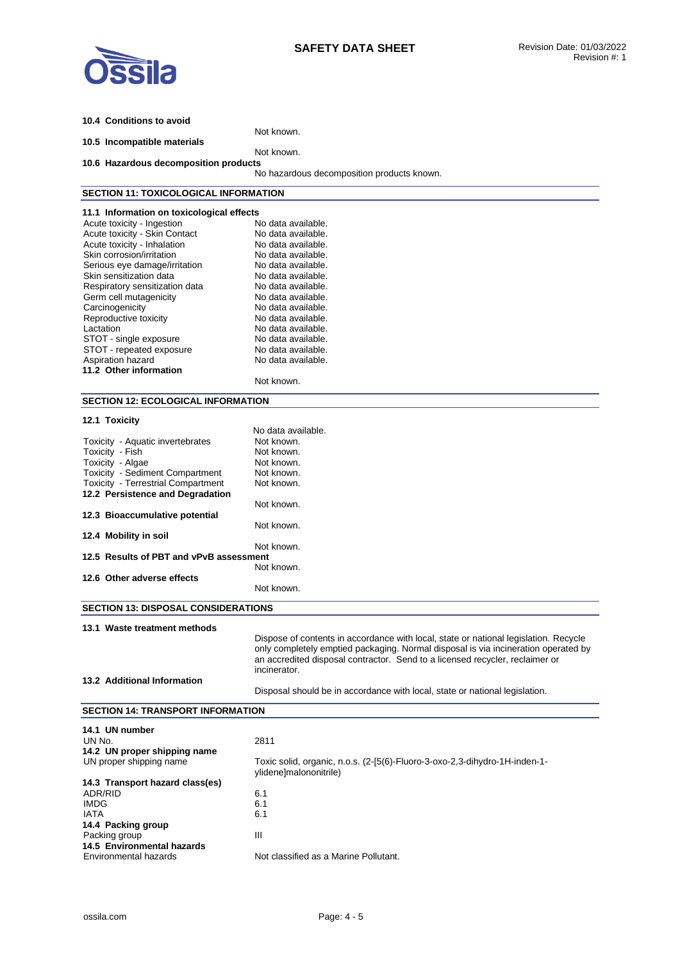

| 10.4 Conditions to avoid                                 |                                                                                      |
|----------------------------------------------------------|--------------------------------------------------------------------------------------|
| 10.5 Incompatible materials                              | Not known.                                                                           |
|                                                          | Not known.                                                                           |
| 10.6 Hazardous decomposition products                    |                                                                                      |
|                                                          | No hazardous decomposition products known.                                           |
| <b>SECTION 11: TOXICOLOGICAL INFORMATION</b>             |                                                                                      |
| 11.1 Information on toxicological effects                |                                                                                      |
| Acute toxicity - Ingestion                               | No data available.                                                                   |
| Acute toxicity - Skin Contact                            | No data available.                                                                   |
| Acute toxicity - Inhalation                              | No data available.                                                                   |
| Skin corrosion/irritation                                | No data available.                                                                   |
| Serious eye damage/irritation<br>Skin sensitization data | No data available.<br>No data available.                                             |
| Respiratory sensitization data                           | No data available.                                                                   |
| Germ cell mutagenicity                                   | No data available.                                                                   |
| Carcinogenicity                                          | No data available.                                                                   |
| Reproductive toxicity                                    | No data available.                                                                   |
| Lactation                                                | No data available.                                                                   |
| STOT - single exposure                                   | No data available.                                                                   |
| STOT - repeated exposure                                 | No data available.                                                                   |
| Aspiration hazard                                        | No data available.                                                                   |
| 11.2 Other information                                   |                                                                                      |
|                                                          | Not known.                                                                           |
| <b>SECTION 12: ECOLOGICAL INFORMATION</b>                |                                                                                      |
|                                                          |                                                                                      |
| 12.1 Toxicity                                            |                                                                                      |
|                                                          | No data available.                                                                   |
| Toxicity - Aquatic invertebrates                         | Not known.                                                                           |
| Toxicity - Fish                                          | Not known.                                                                           |
| Toxicity - Algae<br>Toxicity - Sediment Compartment      | Not known.<br>Not known.                                                             |
| Toxicity - Terrestrial Compartment                       | Not known.                                                                           |
| 12.2 Persistence and Degradation                         |                                                                                      |
|                                                          | Not known.                                                                           |
| 12.3 Bioaccumulative potential                           |                                                                                      |
|                                                          | Not known.                                                                           |
| 12.4 Mobility in soil                                    |                                                                                      |
|                                                          | Not known.                                                                           |
| 12.5 Results of PBT and vPvB assessment                  |                                                                                      |
| 12.6 Other adverse effects                               | Not known.                                                                           |
|                                                          | Not known.                                                                           |
|                                                          |                                                                                      |
| <b>SECTION 13: DISPOSAL CONSIDERATIONS</b>               |                                                                                      |
| 13.1 Waste treatment methods                             |                                                                                      |
|                                                          | Dispose of contents in accordance with local, state or national legislation. Recycle |
|                                                          | only completely emptied packaging. Normal disposal is via incineration operated by   |
|                                                          | an accredited disposal contractor. Send to a licensed recycler, reclaimer or         |
|                                                          | incinerator.                                                                         |
| 13.2 Additional Information                              |                                                                                      |
|                                                          | Disposal should be in accordance with local, state or national legislation.          |
| <b>SECTION 14: TRANSPORT INFORMATION</b>                 |                                                                                      |
| 14.1 UN number                                           |                                                                                      |
| UN No.                                                   | 2811                                                                                 |
| 14.2 UN proper shipping name                             |                                                                                      |
| UN proper shipping name                                  | Toxic solid, organic, n.o.s. (2-[5(6)-Fluoro-3-oxo-2,3-dihydro-1H-inden-1-           |
|                                                          | ylidene]malononitrile)                                                               |
| 14.3 Transport hazard class(es)                          |                                                                                      |
| ADR/RID                                                  | 6.1                                                                                  |
| <b>IMDG</b>                                              | 6.1                                                                                  |
| <b>IATA</b>                                              | 6.1                                                                                  |
| 14.4 Packing group                                       |                                                                                      |
| Packing group                                            | Ш                                                                                    |
| 14.5 Environmental hazards                               |                                                                                      |
| Environmental hazards                                    | Not classified as a Marine Pollutant.                                                |